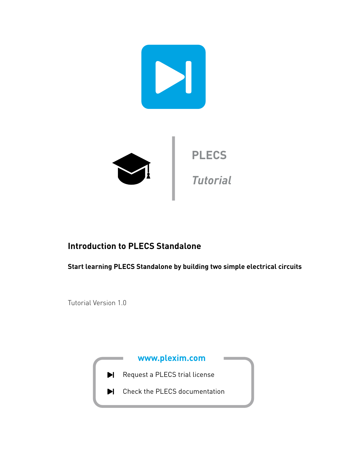

# **Introduction to PLECS Standalone**

**Start learning PLECS Standalone by building two simple electrical circuits**

Tutorial Version 1.0

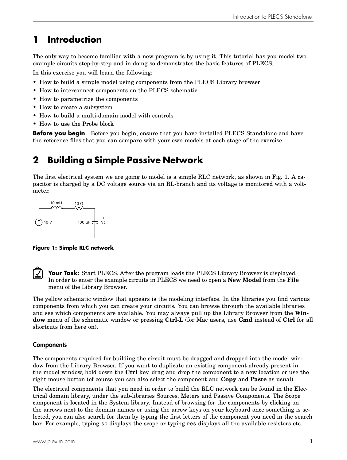# **1 Introduction**

The only way to become familiar with a new program is by using it. This tutorial has you model two example circuits step-by-step and in doing so demonstrates the basic features of PLECS.

In this exercise you will learn the following:

- How to build a simple model using components from the PLECS Library browser
- How to interconnect components on the PLECS schematic
- How to parametrize the components
- How to create a subsystem
- How to build a multi-domain model with controls
- How to use the Probe block

**Before you begin** Before you begin, ensure that you have installed PLECS Standalone and have the reference files that you can compare with your own models at each stage of the exercise.

# **2 Building a Simple Passive Network**

The first electrical system we are going to model is a simple RLC network, as shown in Fig. [1.](#page-1-0) A capacitor is charged by a DC voltage source via an RL-branch and its voltage is monitored with a voltmeter.

<span id="page-1-0"></span>

**Figure 1: Simple RLC network**



**Your Task:** Start PLECS. After the program loads the PLECS Library Browser is displayed. In order to enter the example circuits in PLECS we need to open a **New Model** from the **File** menu of the Library Browser.

The yellow schematic window that appears is the modeling interface. In the libraries you find various components from which you can create your circuits. You can browse through the available libraries and see which components are available. You may always pull up the Library Browser from the **Window** menu of the schematic window or pressing **Ctrl-L** (for Mac users, use **Cmd** instead of **Ctrl** for all shortcuts from here on).

# **Components**

The components required for building the circuit must be dragged and dropped into the model window from the Library Browser. If you want to duplicate an existing component already present in the model window, hold down the **Ctrl** key, drag and drop the component to a new location or use the right mouse button (of course you can also select the component and **Copy** and **Paste** as usual).

The electrical components that you need in order to build the RLC network can be found in the Electrical domain library, under the sub-libraries Sources, Meters and Passive Components. The Scope component is located in the System library. Instead of browsing for the components by clicking on the arrows next to the domain names or using the arrow keys on your keyboard once something is selected, you can also search for them by typing the first letters of the component you need in the search bar. For example, typing sc displays the scope or typing res displays all the available resistors etc.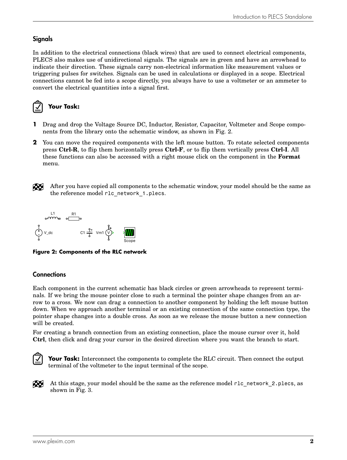# **Signals**

In addition to the electrical connections (black wires) that are used to connect electrical components, PLECS also makes use of unidirectional signals. The signals are in green and have an arrowhead to indicate their direction. These signals carry non-electrical information like measurement values or triggering pulses for switches. Signals can be used in calculations or displayed in a scope. Electrical connections cannot be fed into a scope directly, you always have to use a voltmeter or an ammeter to convert the electrical quantities into a signal first.



- **1** Drag and drop the Voltage Source DC, Inductor, Resistor, Capacitor, Voltmeter and Scope components from the library onto the schematic window, as shown in Fig. [2.](#page-2-0)
- **2** You can move the required components with the left mouse button. To rotate selected components press **Ctrl-R**, to flip them horizontally press **Ctrl-F**, or to flip them vertically press **Ctrl-I**. All these functions can also be accessed with a right mouse click on the component in the **Format** menu.



After you have copied all components to the schematic window, your model should be the same as the reference model rlc\_network\_1.plecs.

<span id="page-2-0"></span>

**Figure 2: Components of the RLC network**

# **Connections**

Each component in the current schematic has black circles or green arrowheads to represent terminals. If we bring the mouse pointer close to such a terminal the pointer shape changes from an arrow to a cross. We now can drag a connection to another component by holding the left mouse button down. When we approach another terminal or an existing connection of the same connection type, the pointer shape changes into a double cross. As soon as we release the mouse button a new connection will be created.

For creating a branch connection from an existing connection, place the mouse cursor over it, hold **Ctrl**, then click and drag your cursor in the desired direction where you want the branch to start.



Your Task: Interconnect the components to complete the RLC circuit. Then connect the output terminal of the voltmeter to the input terminal of the scope.

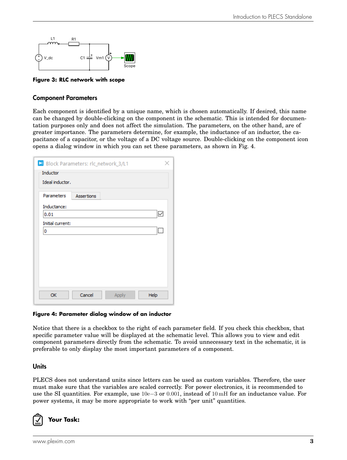<span id="page-3-0"></span>

**Figure 3: RLC network with scope**

### Component Parameters

Each component is identified by a unique name, which is chosen automatically. If desired, this name can be changed by double-clicking on the component in the schematic. This is intended for documentation purposes only and does not affect the simulation. The parameters, on the other hand, are of greater importance. The parameters determine, for example, the inductance of an inductor, the capacitance of a capacitor, or the voltage of a DC voltage source. Double-clicking on the component icon opens a dialog window in which you can set these parameters, as shown in Fig. [4.](#page-3-1)

<span id="page-3-1"></span>

| Block Parameters: rlc_network_3/L1 |                   |       |      |
|------------------------------------|-------------------|-------|------|
| Inductor                           |                   |       |      |
| Ideal inductor.                    |                   |       |      |
| Parameters                         | <b>Assertions</b> |       |      |
| Inductance:                        |                   |       |      |
| 0.01                               |                   |       | ∨    |
| Initial current:                   |                   |       |      |
| 0                                  |                   |       |      |
|                                    |                   |       |      |
|                                    |                   |       |      |
|                                    |                   |       |      |
|                                    |                   |       |      |
|                                    |                   |       |      |
|                                    |                   |       |      |
| OK                                 | Cancel            |       |      |
|                                    |                   | Apply | Help |

#### **Figure 4: Parameter dialog window of an inductor**

Notice that there is a checkbox to the right of each parameter field. If you check this checkbox, that specific parameter value will be displayed at the schematic level. This allows you to view and edit component parameters directly from the schematic. To avoid unnecessary text in the schematic, it is preferable to only display the most important parameters of a component.

### Units

PLECS does not understand units since letters can be used as custom variables. Therefore, the user must make sure that the variables are scaled correctly. For power electronics, it is recommended to use the SI quantities. For example, use 10e−3 or 0.001, instead of 10 mH for an inductance value. For power systems, it may be more appropriate to work with "per unit" quantities.

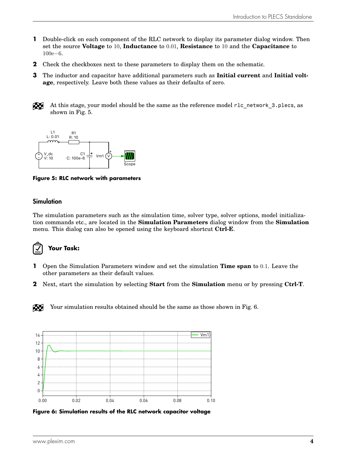- **1** Double-click on each component of the RLC network to display its parameter dialog window. Then set the source **Voltage** to 10, **Inductance** to 0.01, **Resistance** to 10 and the **Capacitance** to 100e−6.
- **2** Check the checkboxes next to these parameters to display them on the schematic.
- **3** The inductor and capacitor have additional parameters such as **Initial current** and **Initial voltage**, respectively. Leave both these values as their defaults of zero.



At this stage, your model should be the same as the reference model r1c network 3.plecs, as shown in Fig. [5.](#page-4-0)

<span id="page-4-0"></span>

**Figure 5: RLC network with parameters**

#### Simulation

The simulation parameters such as the simulation time, solver type, solver options, model initialization commands etc., are located in the **Simulation Parameters** dialog window from the **Simulation** menu. This dialog can also be opened using the keyboard shortcut **Ctrl-E**.



### **Your Task:**

- **1** Open the Simulation Parameters window and set the simulation **Time span** to 0.1. Leave the other parameters as their default values.
- **2** Next, start the simulation by selecting **Start** from the **Simulation** menu or by pressing **Ctrl-T**.

Æ Your simulation results obtained should be the same as those shown in Fig. [6.](#page-4-1)

<span id="page-4-1"></span>

**Figure 6: Simulation results of the RLC network capacitor voltage**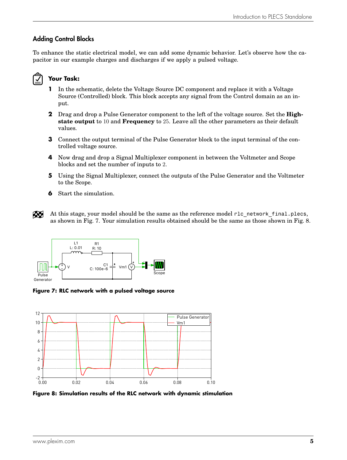# Adding Control Blocks

To enhance the static electrical model, we can add some dynamic behavior. Let's observe how the capacitor in our example charges and discharges if we apply a pulsed voltage.

# **Your Task:**

- **1** In the schematic, delete the Voltage Source DC component and replace it with a Voltage Source (Controlled) block. This block accepts any signal from the Control domain as an input.
- **2** Drag and drop a Pulse Generator component to the left of the voltage source. Set the **Highstate output** to 10 and **Frequency** to 25. Leave all the other parameters as their default values.
- **3** Connect the output terminal of the Pulse Generator block to the input terminal of the controlled voltage source.
- **4** Now drag and drop a Signal Multiplexer component in between the Voltmeter and Scope blocks and set the number of inputs to 2.
- **5** Using the Signal Multiplexer, connect the outputs of the Pulse Generator and the Voltmeter to the Scope.
- **6** Start the simulation.
- $\infty$ At this stage, your model should be the same as the reference model r1c network final.plecs, as shown in Fig. [7.](#page-5-0) Your simulation results obtained should be the same as those shown in Fig. [8.](#page-5-1)

<span id="page-5-0"></span>

**Figure 7: RLC network with a pulsed voltage source**

<span id="page-5-1"></span>

**Figure 8: Simulation results of the RLC network with dynamic stimulation**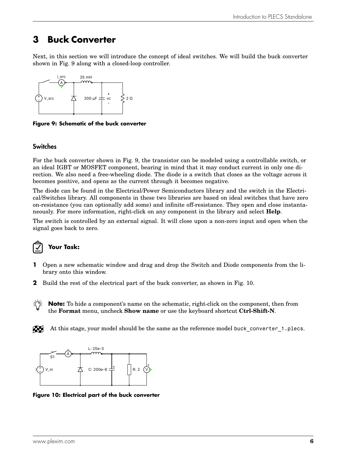# **3 Buck Converter**

Next, in this section we will introduce the concept of ideal switches. We will build the buck converter shown in Fig. [9](#page-6-0) along with a closed-loop controller.

<span id="page-6-0"></span>

**Figure 9: Schematic of the buck converter**

### Switches

For the buck converter shown in Fig. [9,](#page-6-0) the transistor can be modeled using a controllable switch, or an ideal IGBT or MOSFET component, bearing in mind that it may conduct current in only one direction. We also need a free-wheeling diode. The diode is a switch that closes as the voltage across it becomes positive, and opens as the current through it becomes negative.

The diode can be found in the Electrical/Power Semiconductors library and the switch in the Electrical/Switches library. All components in these two libraries are based on ideal switches that have zero on-resistance (you can optionally add some) and infinite off-resistance. They open and close instantaneously. For more information, right-click on any component in the library and select **Help**.

The switch is controlled by an external signal. It will close upon a non-zero input and open when the signal goes back to zero.



# **Your Task:**

- **1** Open a new schematic window and drag and drop the Switch and Diode components from the library onto this window.
- **2** Build the rest of the electrical part of the buck converter, as shown in Fig. [10.](#page-6-1)
- ÷Õ **Note:** To hide a component's name on the schematic, right-click on the component, then from the **Format** menu, uncheck **Show name** or use the keyboard shortcut **Ctrl-Shift-N**.
- Æ At this stage, your model should be the same as the reference model buck converter 1.plecs.

<span id="page-6-1"></span>

**Figure 10: Electrical part of the buck converter**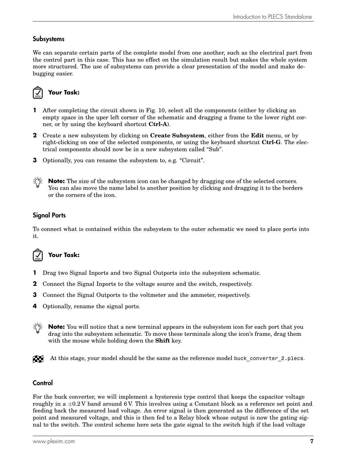## **Subsystems**

We can separate certain parts of the complete model from one another, such as the electrical part from the control part in this case. This has no effect on the simulation result but makes the whole system more structured. The use of subsystems can provide a clear presentation of the model and make debugging easier.



# **Your Task:**

- **1** After completing the circuit shown in Fig. [10,](#page-6-1) select all the components (either by clicking an empty space in the uper left corner of the schematic and dragging a frame to the lower right corner, or by using the keyboard shortcut **Ctrl-A**).
- **2** Create a new subsystem by clicking on **Create Subsystem**, either from the **Edit** menu, or by right-clicking on one of the selected components, or using the keyboard shortcut **Ctrl-G**. The electrical components should now be in a new subsystem called "Sub".
- **3** Optionally, you can rename the subsystem to, e.g. "Circuit".



**Note:** The size of the subsystem icon can be changed by dragging one of the selected corners. You can also move the name label to another position by clicking and dragging it to the borders or the corners of the icon.

# Signal Ports

To connect what is contained within the subsystem to the outer schematic we need to place ports into it.



- **1** Drag two Signal Inports and two Signal Outports into the subsystem schematic.
- **2** Connect the Signal Inports to the voltage source and the switch, respectively.
- **3** Connect the Signal Outports to the voltmeter and the ammeter, respectively.
- **4** Optionally, rename the signal ports.
- $\sum_{i=1}^{n}$ **Note:** You will notice that a new terminal appears in the subsystem icon for each port that you drag into the subsystem schematic. To move these terminals along the icon's frame, drag them with the mouse while holding down the **Shift** key.

At this stage, your model should be the same as the reference model buck converter 2.plecs. RU

### **Control**

For the buck converter, we will implement a hysteresis type control that keeps the capacitor voltage roughly in a  $\pm 0.2$  V band around 6 V. This involves using a Constant block as a reference set point and feeding back the measured load voltage. An error signal is then generated as the difference of the set point and measured voltage, and this is then fed to a Relay block whose output is now the gating signal to the switch. The control scheme here sets the gate signal to the switch high if the load voltage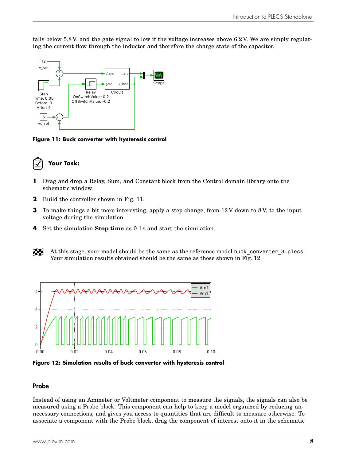falls below 5.8 V, and the gate signal to low if the voltage increases above 6.2 V. We are simply regulating the current flow through the inductor and therefore the charge state of the capacitor.

<span id="page-8-0"></span>

**Figure 11: Buck converter with hysteresis control**



- **1** Drag and drop a Relay, Sum, and Constant block from the Control domain library onto the schematic window.
- **2** Build the controller shown in Fig. [11.](#page-8-0)
- **3** To make things a bit more interesting, apply a step change, from 12 V down to 8V, to the input voltage during the simulation.
- **4** Set the simulation **Stop time** as 0.1 s and start the simulation.
- Æ At this stage, your model should be the same as the reference model buck converter 3.plecs. Your simulation results obtained should be the same as those shown in Fig. [12.](#page-8-1)

<span id="page-8-1"></span>

**Figure 12: Simulation results of buck converter with hysteresis control**

### Probe

Instead of using an Ammeter or Voltmeter component to measure the signals, the signals can also be measured using a Probe block. This component can help to keep a model organized by reducing unnecessary connections, and gives you access to quantities that are difficult to measure otherwise. To associate a component with the Probe block, drag the component of interest onto it in the schematic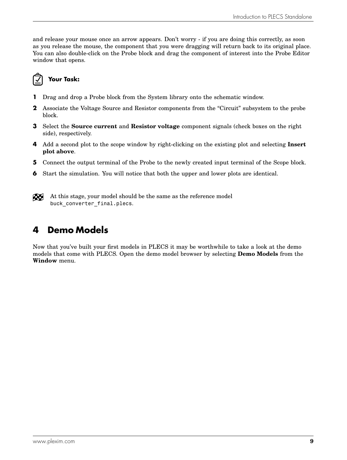and release your mouse once an arrow appears. Don't worry - if you are doing this correctly, as soon as you release the mouse, the component that you were dragging will return back to its original place. You can also double-click on the Probe block and drag the component of interest into the Probe Editor window that opens.



- **1** Drag and drop a Probe block from the System library onto the schematic window.
- **2** Associate the Voltage Source and Resistor components from the "Circuit" subsystem to the probe block.
- **3** Select the **Source current** and **Resistor voltage** component signals (check boxes on the right side), respectively.
- **4** Add a second plot to the scope window by right-clicking on the existing plot and selecting **Insert plot above**.
- **5** Connect the output terminal of the Probe to the newly created input terminal of the Scope block.
- **6** Start the simulation. You will notice that both the upper and lower plots are identical.
- Æ At this stage, your model should be the same as the reference model buck converter final.plecs.

# **4 Demo Models**

Now that you've built your first models in PLECS it may be worthwhile to take a look at the demo models that come with PLECS. Open the demo model browser by selecting **Demo Models** from the **Window** menu.